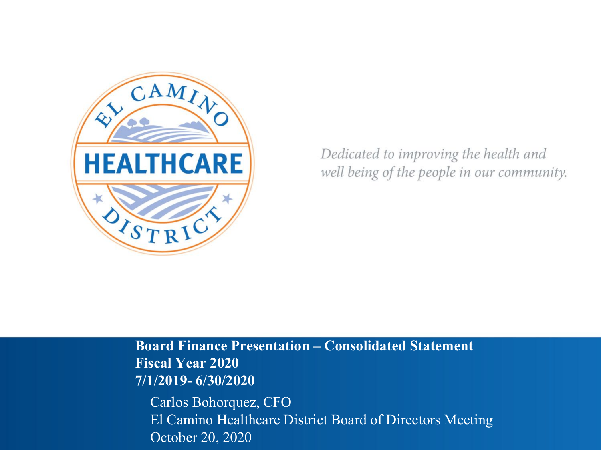

Dedicated to improving the health and well being of the people in our community.

**Board Finance Presentation ± Consolidated Statement Fiscal Year 2020 7/1/2019- 6/30/2020** Carlos Bohorquez, CFO

El Camino Healthcare District Board of Directors Meeting October 20, 2020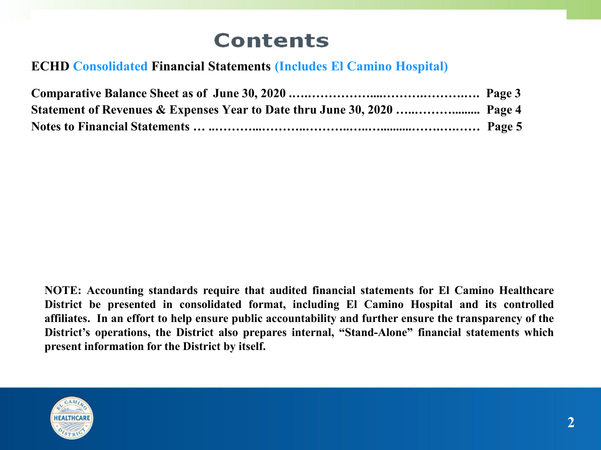# **Contents**

### **ECHD Consolidated Financial Statements (Includes El Camino Hospital)**

**NOTE: Accounting standards require that audited financial statements for El Camino Healthcare District be presented in consolidated format, including El Camino Hospital and its controlled affiliates. In an effort to help ensure public accountability and further ensure the transparency of the District's operations, the District also prepares internal, "Stand-Alone" financial statements which present information for the District by itself.**

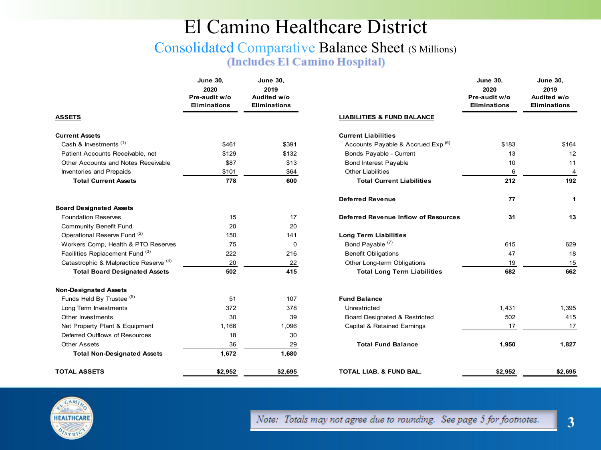### El Camino Healthcare District

#### Consolidated Comparative Balance Sheet (\$ Millions) (Includes El Camino Hospital)

|                                        | <b>June 30,</b><br>2020<br>Pre-audit w/o<br><b>Eliminations</b> | <b>June 30,</b><br>2019<br>Audited w/o<br><b>Eliminations</b> |                                       |
|----------------------------------------|-----------------------------------------------------------------|---------------------------------------------------------------|---------------------------------------|
| <b>ASSETS</b>                          |                                                                 |                                                               | <b>LIABILITIES &amp; FUND BALANCE</b> |
| <b>Current Assets</b>                  |                                                                 |                                                               | <b>Current Liabilities</b>            |
| Cash & Investments <sup>(1)</sup>      | \$461                                                           | \$391                                                         | Accounts Payable & Accrued E          |
| Patient Accounts Receivable, net       | \$129                                                           | \$132                                                         | Bonds Payable - Current               |
| Other Accounts and Notes Receivable    | \$87                                                            | \$13                                                          | <b>Bond Interest Payable</b>          |
| Inventories and Prepaids               | \$101                                                           | \$64                                                          | <b>Other Liabilities</b>              |
| <b>Total Current Assets</b>            | 778                                                             | 600                                                           | <b>Total Current Liabilities</b>      |
|                                        |                                                                 |                                                               | <b>Deferred Revenue</b>               |
| <b>Board Designated Assets</b>         |                                                                 |                                                               |                                       |
| <b>Foundation Reserves</b>             | 15                                                              | 17                                                            | Deferred Revenue Inflow of Re         |
| Community Benefit Fund                 | 20                                                              | 20                                                            |                                       |
| Operational Reserve Fund (2)           | 150                                                             | 141                                                           | <b>Long Term Liabilities</b>          |
| Workers Comp, Health & PTO Reserves    | 75                                                              | 0                                                             | Bond Payable <sup>(7)</sup>           |
| Facilities Replacement Fund (3)        | 222                                                             | 216                                                           | <b>Benefit Obligations</b>            |
| Catastrophic & Malpractice Reserve (4) | 20                                                              | 22                                                            | Other Long-term Obligations           |
| <b>Total Board Designated Assets</b>   | 502                                                             | 415                                                           | <b>Total Long Term Liabiliti</b>      |
| <b>Non-Designated Assets</b>           |                                                                 |                                                               |                                       |
| Funds Held By Trustee <sup>(5)</sup>   | 51                                                              | 107                                                           | <b>Fund Balance</b>                   |
| Long Term Investments                  | 372                                                             | 378                                                           | Unrestricted                          |
| Other Investments                      | 30                                                              | 39                                                            | Board Designated & Restricted         |
| Net Property Plant & Equipment         | 1,166                                                           | 1,096                                                         | Capital & Retained Earnings           |
| Deferred Outflows of Resources         | 18                                                              | 30                                                            |                                       |
| Other Assets                           | 36                                                              | 29                                                            | <b>Total Fund Balance</b>             |
| <b>Total Non-Designated Assets</b>     | 1,672                                                           | 1,680                                                         |                                       |
| TOTAL ASSETS                           | \$2.952                                                         | \$2.695                                                       | <b>TOTAL LIAB. &amp; FUND BAL.</b>    |

|                                        | <b>June 30,</b><br>2020<br>Pre-audit w/o<br><b>Eliminations</b> | <b>June 30,</b><br>2019<br>Audited w/o<br><b>Eliminations</b> |                                               | <b>June 30,</b><br>2020<br>Pre-audit w/o<br><b>Eliminations</b> | <b>June 30,</b><br>2019<br>Audited w/o<br><b>Eliminations</b> |
|----------------------------------------|-----------------------------------------------------------------|---------------------------------------------------------------|-----------------------------------------------|-----------------------------------------------------------------|---------------------------------------------------------------|
| ASSETS                                 |                                                                 |                                                               | <b>LIABILITIES &amp; FUND BALANCE</b>         |                                                                 |                                                               |
| <b>Current Assets</b>                  |                                                                 |                                                               | <b>Current Liabilities</b>                    |                                                                 |                                                               |
| Cash & Investments <sup>(1)</sup>      | \$461                                                           | \$391                                                         | Accounts Payable & Accrued Exp <sup>(6)</sup> | \$183                                                           | \$164                                                         |
| Patient Accounts Receivable, net       | \$129                                                           | \$132                                                         | Bonds Payable - Current                       | 13                                                              | 12                                                            |
| Other Accounts and Notes Receivable    | \$87                                                            | \$13                                                          | <b>Bond Interest Payable</b>                  | 10                                                              | 11                                                            |
| Inventories and Prepaids               | \$101                                                           | \$64                                                          | <b>Other Liabilities</b>                      | 6                                                               | 4                                                             |
| <b>Total Current Assets</b>            | 778                                                             | 600                                                           | <b>Total Current Liabilities</b>              | 212                                                             | 192                                                           |
|                                        |                                                                 |                                                               | <b>Deferred Revenue</b>                       | 77                                                              | 1                                                             |
| <b>Board Designated Assets</b>         |                                                                 |                                                               |                                               |                                                                 |                                                               |
| <b>Foundation Reserves</b>             | 15                                                              | 17                                                            | Deferred Revenue Inflow of Resources          | 31                                                              | 13                                                            |
| <b>Community Benefit Fund</b>          | 20                                                              | 20                                                            |                                               |                                                                 |                                                               |
| Operational Reserve Fund (2)           | 150                                                             | 141                                                           | <b>Long Term Liabilities</b>                  |                                                                 |                                                               |
| Workers Comp, Health & PTO Reserves    | 75                                                              | 0                                                             | Bond Payable <sup>(7)</sup>                   | 615                                                             | 629                                                           |
| Facilities Replacement Fund (3)        | 222                                                             | 216                                                           | <b>Benefit Obligations</b>                    | 47                                                              | 18                                                            |
| Catastrophic & Malpractice Reserve (4) | 20                                                              | 22                                                            | Other Long-term Obligations                   | 19                                                              | 15                                                            |
| <b>Total Board Designated Assets</b>   | 502                                                             | 415                                                           | <b>Total Long Term Liabilities</b>            | 682                                                             | 662                                                           |
| <b>Non-Designated Assets</b>           |                                                                 |                                                               |                                               |                                                                 |                                                               |
| Funds Held By Trustee (5)              | 51                                                              | 107                                                           | <b>Fund Balance</b>                           |                                                                 |                                                               |
| Long Term Investments                  | 372                                                             | 378                                                           | Unrestricted                                  | 1,431                                                           | 1,395                                                         |
| Other Investments                      | 30                                                              | 39                                                            | 502<br>Board Designated & Restricted          |                                                                 | 415                                                           |
| Net Property Plant & Equipment         | 1,166                                                           | 1,096                                                         | Capital & Retained Earnings                   | 17                                                              | 17                                                            |
| Deferred Outflows of Resources         | 18                                                              | 30                                                            |                                               |                                                                 |                                                               |
| <b>Other Assets</b>                    | 36                                                              | 29                                                            | <b>Total Fund Balance</b>                     | 1,950                                                           | 1,827                                                         |
| <b>Total Non-Designated Assets</b>     | 1,672                                                           | 1,680                                                         |                                               |                                                                 |                                                               |
| TOTAL ASSETS                           | \$2,952                                                         | \$2,695                                                       | <b>TOTAL LIAB. &amp; FUND BAL.</b>            | \$2,952                                                         | \$2,695                                                       |

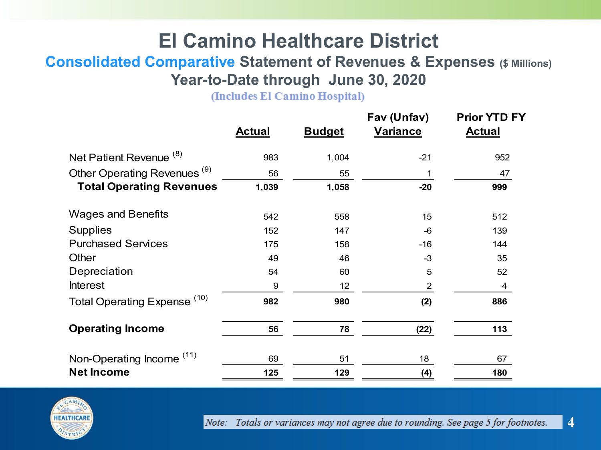## **El Camino Healthcare District**

### **Consolidated Comparative Statement of Revenues & Expenses (\$ Millions) Year-to-Date through June 30, 2020**

(Includes El Camino Hospital)

|                                         | <b>Actual</b> | <b>Budget</b> | Fav (Unfav)<br><b>Variance</b> | <b>Prior YTD FY</b><br><b>Actual</b> |
|-----------------------------------------|---------------|---------------|--------------------------------|--------------------------------------|
| Net Patient Revenue <sup>(8)</sup>      | 983           | 1,004         | $-21$                          | 952                                  |
| Other Operating Revenues <sup>(9)</sup> | 56            | 55            |                                | 47                                   |
| <b>Total Operating Revenues</b>         | 1,039         | 1,058         | $-20$                          | 999                                  |
| <b>Wages and Benefits</b>               | 542           | 558           | 15                             | 512                                  |
| <b>Supplies</b>                         | 152           | 147           | $-6$                           | 139                                  |
| <b>Purchased Services</b>               | 175           | 158           | $-16$                          | 144                                  |
| Other                                   | 49            | 46            | $-3$                           | 35                                   |
| Depreciation                            | 54            | 60            | 5                              | 52                                   |
| <b>Interest</b>                         | 9             | 12            | $\overline{2}$                 | 4                                    |
| Total Operating Expense <sup>(10)</sup> | 982           | 980           | (2)                            | 886                                  |
| <b>Operating Income</b>                 | 56            | 78            | (22)                           | 113                                  |
| Non-Operating Income <sup>(11)</sup>    | 69            | 51            | 18                             | 67                                   |
| <b>Net Income</b>                       | 125           | 129           | (4)                            | 180                                  |



Note: Totals or variances may not agree due to rounding. See page 5 for footnotes.